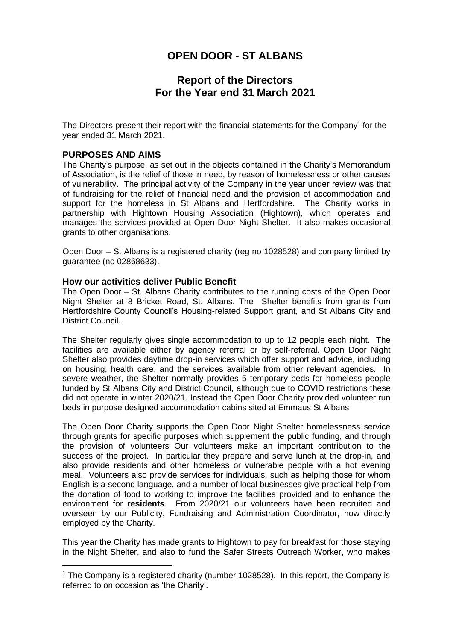# **Report of the Directors For the Year end 31 March 2021**

The Directors present their report with the financial statements for the Company<sup>1</sup> for the year ended 31 March 2021.

### **PURPOSES AND AIMS**

The Charity's purpose, as set out in the objects contained in the Charity's Memorandum of Association, is the relief of those in need, by reason of homelessness or other causes of vulnerability. The principal activity of the Company in the year under review was that of fundraising for the relief of financial need and the provision of accommodation and support for the homeless in St Albans and Hertfordshire. The Charity works in partnership with Hightown Housing Association (Hightown), which operates and manages the services provided at Open Door Night Shelter. It also makes occasional grants to other organisations.

Open Door – St Albans is a registered charity (reg no 1028528) and company limited by guarantee (no 02868633).

#### **How our activities deliver Public Benefit**

The Open Door – St. Albans Charity contributes to the running costs of the Open Door Night Shelter at 8 Bricket Road, St. Albans. The Shelter benefits from grants from Hertfordshire County Council's Housing-related Support grant, and St Albans City and District Council.

The Shelter regularly gives single accommodation to up to 12 people each night. The facilities are available either by agency referral or by self-referral. Open Door Night Shelter also provides daytime drop-in services which offer support and advice, including on housing, health care, and the services available from other relevant agencies. In severe weather, the Shelter normally provides 5 temporary beds for homeless people funded by St Albans City and District Council, although due to COVID restrictions these did not operate in winter 2020/21. Instead the Open Door Charity provided volunteer run beds in purpose designed accommodation cabins sited at Emmaus St Albans

The Open Door Charity supports the Open Door Night Shelter homelessness service through grants for specific purposes which supplement the public funding, and through the provision of volunteers Our volunteers make an important contribution to the success of the project. In particular they prepare and serve lunch at the drop-in, and also provide residents and other homeless or vulnerable people with a hot evening meal. Volunteers also provide services for individuals, such as helping those for whom English is a second language, and a number of local businesses give practical help from the donation of food to working to improve the facilities provided and to enhance the environment for **residents**. From 2020/21 our volunteers have been recruited and overseen by our Publicity, Fundraising and Administration Coordinator, now directly employed by the Charity.

This year the Charity has made grants to Hightown to pay for breakfast for those staying in the Night Shelter, and also to fund the Safer Streets Outreach Worker, who makes

**<sup>1</sup>** The Company is a registered charity (number 1028528). In this report, the Company is referred to on occasion as 'the Charity'.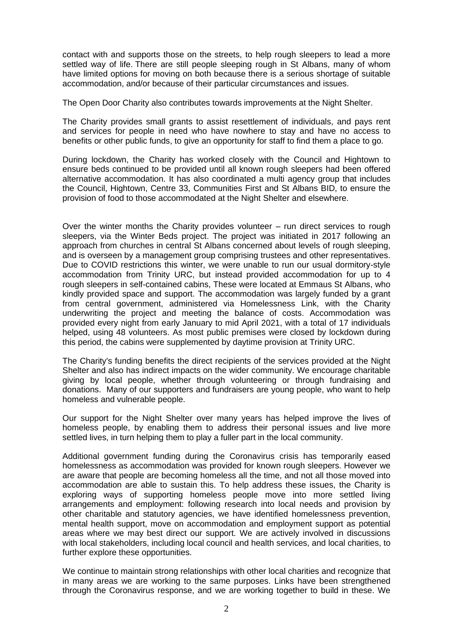contact with and supports those on the streets, to help rough sleepers to lead a more settled way of life. There are still people sleeping rough in St Albans, many of whom have limited options for moving on both because there is a serious shortage of suitable accommodation, and/or because of their particular circumstances and issues.

The Open Door Charity also contributes towards improvements at the Night Shelter.

The Charity provides small grants to assist resettlement of individuals, and pays rent and services for people in need who have nowhere to stay and have no access to benefits or other public funds, to give an opportunity for staff to find them a place to go.

During lockdown, the Charity has worked closely with the Council and Hightown to ensure beds continued to be provided until all known rough sleepers had been offered alternative accommodation. It has also coordinated a multi agency group that includes the Council, Hightown, Centre 33, Communities First and St Albans BID, to ensure the provision of food to those accommodated at the Night Shelter and elsewhere.

Over the winter months the Charity provides volunteer – run direct services to rough sleepers, via the Winter Beds project. The project was initiated in 2017 following an approach from churches in central St Albans concerned about levels of rough sleeping, and is overseen by a management group comprising trustees and other representatives. Due to COVID restrictions this winter, we were unable to run our usual dormitory-style accommodation from Trinity URC, but instead provided accommodation for up to 4 rough sleepers in self-contained cabins, These were located at Emmaus St Albans, who kindly provided space and support. The accommodation was largely funded by a grant from central government, administered via Homelessness Link, with the Charity underwriting the project and meeting the balance of costs. Accommodation was provided every night from early January to mid April 2021, with a total of 17 individuals helped, using 48 volunteers. As most public premises were closed by lockdown during this period, the cabins were supplemented by daytime provision at Trinity URC.

The Charity's funding benefits the direct recipients of the services provided at the Night Shelter and also has indirect impacts on the wider community. We encourage charitable giving by local people, whether through volunteering or through fundraising and donations. Many of our supporters and fundraisers are young people, who want to help homeless and vulnerable people.

Our support for the Night Shelter over many years has helped improve the lives of homeless people, by enabling them to address their personal issues and live more settled lives, in turn helping them to play a fuller part in the local community.

Additional government funding during the Coronavirus crisis has temporarily eased homelessness as accommodation was provided for known rough sleepers. However we are aware that people are becoming homeless all the time, and not all those moved into accommodation are able to sustain this. To help address these issues, the Charity is exploring ways of supporting homeless people move into more settled living arrangements and employment: following research into local needs and provision by other charitable and statutory agencies, we have identified homelessness prevention, mental health support, move on accommodation and employment support as potential areas where we may best direct our support. We are actively involved in discussions with local stakeholders, including local council and health services, and local charities, to further explore these opportunities.

We continue to maintain strong relationships with other local charities and recognize that in many areas we are working to the same purposes. Links have been strengthened through the Coronavirus response, and we are working together to build in these. We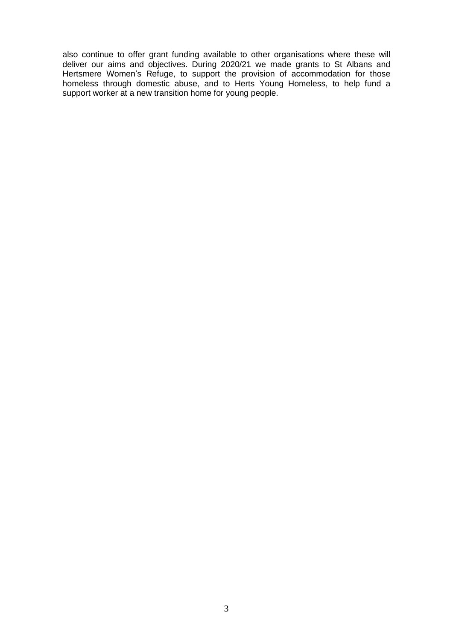also continue to offer grant funding available to other organisations where these will deliver our aims and objectives. During 2020/21 we made grants to St Albans and Hertsmere Women's Refuge, to support the provision of accommodation for those homeless through domestic abuse, and to Herts Young Homeless, to help fund a support worker at a new transition home for young people.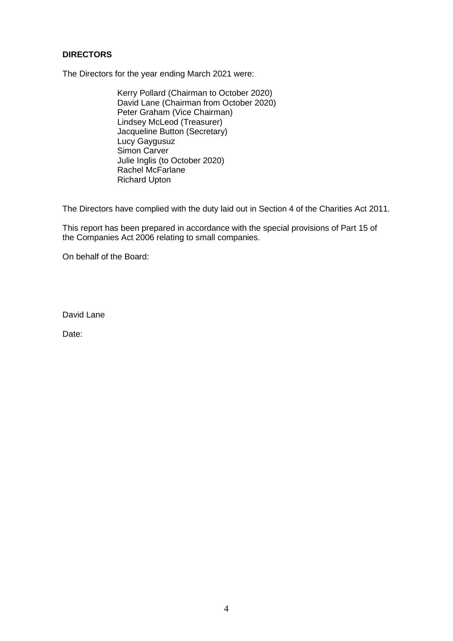## **DIRECTORS**

The Directors for the year ending March 2021 were:

Kerry Pollard (Chairman to October 2020) David Lane (Chairman from October 2020) Peter Graham (Vice Chairman) Lindsey McLeod (Treasurer) Jacqueline Button (Secretary) Lucy Gaygusuz Simon Carver Julie Inglis (to October 2020) Rachel McFarlane Richard Upton

The Directors have complied with the duty laid out in Section 4 of the Charities Act 2011.

This report has been prepared in accordance with the special provisions of Part 15 of the Companies Act 2006 relating to small companies.

On behalf of the Board:

David Lane

Date: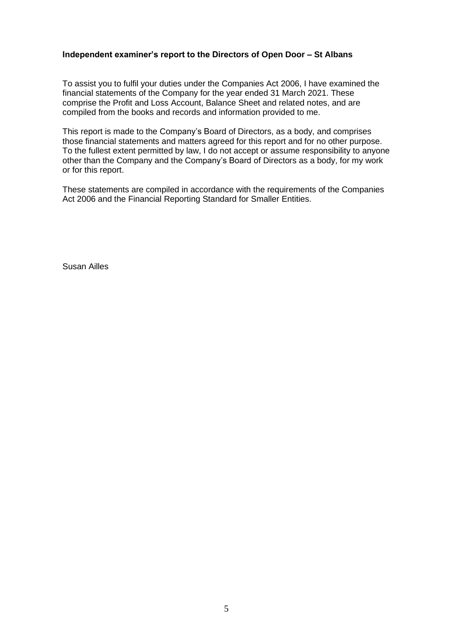### **Independent examiner's report to the Directors of Open Door – St Albans**

To assist you to fulfil your duties under the Companies Act 2006, I have examined the financial statements of the Company for the year ended 31 March 2021. These comprise the Profit and Loss Account, Balance Sheet and related notes, and are compiled from the books and records and information provided to me.

This report is made to the Company's Board of Directors, as a body, and comprises those financial statements and matters agreed for this report and for no other purpose. To the fullest extent permitted by law, I do not accept or assume responsibility to anyone other than the Company and the Company's Board of Directors as a body, for my work or for this report.

These statements are compiled in accordance with the requirements of the Companies Act 2006 and the Financial Reporting Standard for Smaller Entities.

Susan Ailles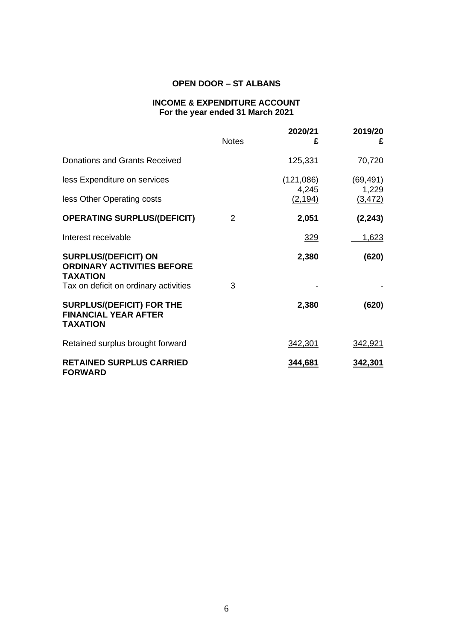## **INCOME & EXPENDITURE ACCOUNT For the year ended 31 March 2021**

|                                                                                                                              | <b>Notes</b> | 2020/21<br>£       | 2019/20<br>£      |
|------------------------------------------------------------------------------------------------------------------------------|--------------|--------------------|-------------------|
| Donations and Grants Received                                                                                                |              | 125,331            | 70,720            |
| less Expenditure on services                                                                                                 |              | (121,086)<br>4,245 | (69, 491)         |
| less Other Operating costs                                                                                                   |              | (2, 194)           | 1,229<br>(3, 472) |
| <b>OPERATING SURPLUS/(DEFICIT)</b>                                                                                           | 2            | 2,051              | (2, 243)          |
| Interest receivable                                                                                                          |              | 329                | 1,623             |
| <b>SURPLUS/(DEFICIT) ON</b><br><b>ORDINARY ACTIVITIES BEFORE</b><br><b>TAXATION</b><br>Tax on deficit on ordinary activities | 3            | 2,380              | (620)             |
| <b>SURPLUS/(DEFICIT) FOR THE</b><br><b>FINANCIAL YEAR AFTER</b><br><b>TAXATION</b>                                           |              | 2,380              | (620)             |
| Retained surplus brought forward                                                                                             |              | 342,301            | 342,921           |
| <b>RETAINED SURPLUS CARRIED</b><br><b>FORWARD</b>                                                                            |              | 344,681            | 342,301           |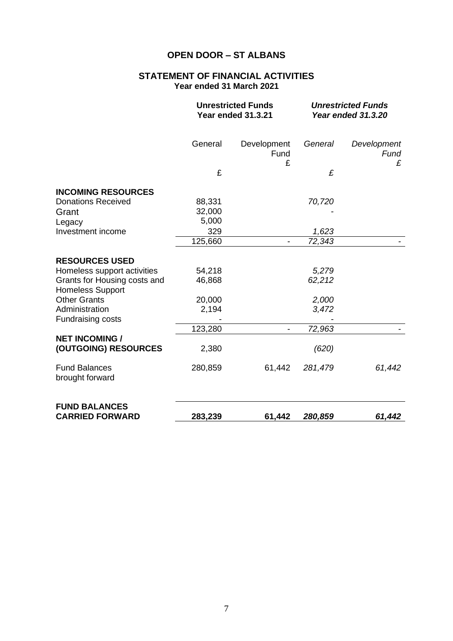## **STATEMENT OF FINANCIAL ACTIVITIES Year ended 31 March 2021**

|                                                         | <b>Unrestricted Funds</b><br><b>Year ended 31.3.21</b> |                          | <b>Unrestricted Funds</b><br>Year ended 31.3.20 |                          |
|---------------------------------------------------------|--------------------------------------------------------|--------------------------|-------------------------------------------------|--------------------------|
|                                                         | General                                                | Development<br>Fund<br>£ | General                                         | Development<br>Fund<br>£ |
|                                                         | £                                                      |                          | £                                               |                          |
| <b>INCOMING RESOURCES</b>                               |                                                        |                          |                                                 |                          |
| <b>Donations Received</b><br>Grant                      | 88,331<br>32,000                                       |                          | 70,720                                          |                          |
| Legacy<br>Investment income                             | 5,000<br>329                                           |                          | 1,623                                           |                          |
|                                                         | 125,660                                                | $\overline{\phantom{a}}$ | 72,343                                          |                          |
| <b>RESOURCES USED</b>                                   |                                                        |                          |                                                 |                          |
| Homeless support activities                             | 54,218                                                 |                          | 5,279                                           |                          |
| Grants for Housing costs and<br><b>Homeless Support</b> | 46,868                                                 |                          | 62,212                                          |                          |
| <b>Other Grants</b>                                     | 20,000                                                 |                          | 2,000                                           |                          |
| Administration<br><b>Fundraising costs</b>              | 2,194                                                  |                          | 3,472                                           |                          |
|                                                         | 123,280                                                |                          | 72,963                                          |                          |
| <b>NET INCOMING /</b><br>(OUTGOING) RESOURCES           | 2,380                                                  |                          | (620)                                           |                          |
| <b>Fund Balances</b><br>brought forward                 | 280,859                                                | 61,442                   | 281,479                                         | 61,442                   |
| <b>FUND BALANCES</b><br><b>CARRIED FORWARD</b>          | 283,239                                                | 61,442                   | 280,859                                         | 61,442                   |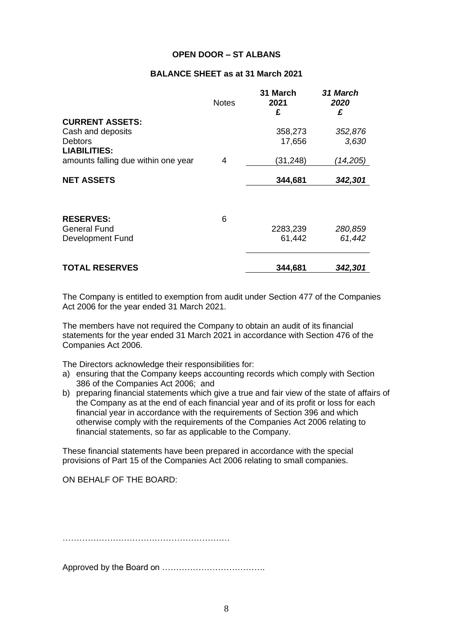### **BALANCE SHEET as at 31 March 2021**

|                                     | <b>Notes</b> | 31 March<br>2021<br>£ | 31 March<br>2020<br>£ |
|-------------------------------------|--------------|-----------------------|-----------------------|
| <b>CURRENT ASSETS:</b>              |              |                       |                       |
| Cash and deposits                   |              | 358,273               | 352,876               |
| <b>Debtors</b>                      |              | 17,656                | 3,630                 |
| <b>LIABILITIES:</b>                 |              |                       |                       |
| amounts falling due within one year | 4            | (31,248)              | (14,205)              |
|                                     |              |                       |                       |
| <b>NET ASSETS</b>                   |              | 344,681               | 342,301               |
|                                     |              |                       |                       |
| <b>RESERVES:</b>                    | 6            |                       |                       |
| <b>General Fund</b>                 |              | 2283,239              | 280,859               |
| Development Fund                    |              | 61,442                | 61,442                |
| <b>TOTAL RESERVES</b>               |              | 344,681               | 342,301               |

The Company is entitled to exemption from audit under Section 477 of the Companies Act 2006 for the year ended 31 March 2021.

The members have not required the Company to obtain an audit of its financial statements for the year ended 31 March 2021 in accordance with Section 476 of the Companies Act 2006.

The Directors acknowledge their responsibilities for:

- a) ensuring that the Company keeps accounting records which comply with Section 386 of the Companies Act 2006; and
- b) preparing financial statements which give a true and fair view of the state of affairs of the Company as at the end of each financial year and of its profit or loss for each financial year in accordance with the requirements of Section 396 and which otherwise comply with the requirements of the Companies Act 2006 relating to financial statements, so far as applicable to the Company.

These financial statements have been prepared in accordance with the special provisions of Part 15 of the Companies Act 2006 relating to small companies.

ON BEHALF OF THE BOARD:

……………………………………………………

Approved by the Board on ……………………………….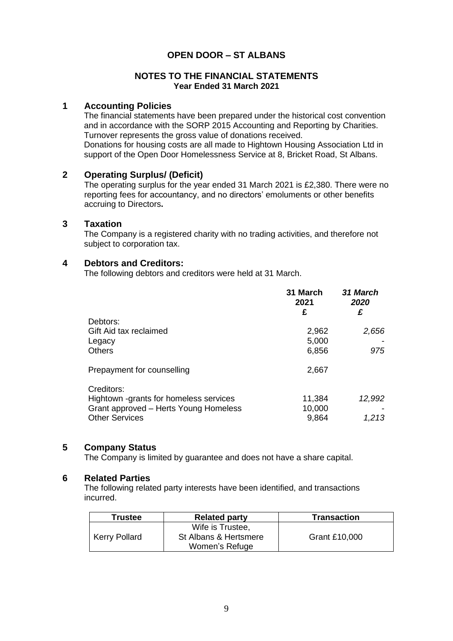### **NOTES TO THE FINANCIAL STATEMENTS Year Ended 31 March 2021**

## **1 Accounting Policies**

The financial statements have been prepared under the historical cost convention and in accordance with the SORP 2015 Accounting and Reporting by Charities. Turnover represents the gross value of donations received. Donations for housing costs are all made to Hightown Housing Association Ltd in support of the Open Door Homelessness Service at 8, Bricket Road, St Albans.

## **2 Operating Surplus/ (Deficit)**

The operating surplus for the year ended 31 March 2021 is £2,380. There were no reporting fees for accountancy, and no directors' emoluments or other benefits accruing to Directors**.**

### **3 Taxation**

The Company is a registered charity with no trading activities, and therefore not subject to corporation tax.

### **4 Debtors and Creditors:**

The following debtors and creditors were held at 31 March.

|                                        | 31 March<br>2021<br>£ | 31 March<br>2020<br>£ |
|----------------------------------------|-----------------------|-----------------------|
| Debtors:                               |                       |                       |
| Gift Aid tax reclaimed                 | 2,962                 | 2,656                 |
| Legacy                                 | 5,000                 |                       |
| <b>Others</b>                          | 6,856                 | 975                   |
| Prepayment for counselling             | 2,667                 |                       |
| Creditors:                             |                       |                       |
| Hightown -grants for homeless services | 11,384                | 12,992                |
| Grant approved - Herts Young Homeless  | 10,000                |                       |
| <b>Other Services</b>                  | 9,864                 | 1,213                 |

## **5 Company Status**

The Company is limited by guarantee and does not have a share capital.

### **6 Related Parties**

The following related party interests have been identified, and transactions incurred.

| <b>Trustee</b>       | <b>Related party</b>                                        | <b>Transaction</b> |
|----------------------|-------------------------------------------------------------|--------------------|
| <b>Kerry Pollard</b> | Wife is Trustee.<br>St Albans & Hertsmere<br>Women's Refuge | Grant £10,000      |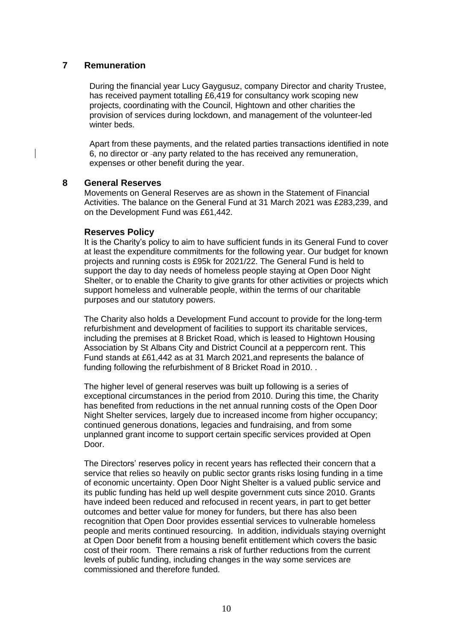### **7 Remuneration**

During the financial year Lucy Gaygusuz, company Director and charity Trustee, has received payment totalling £6,419 for consultancy work scoping new projects, coordinating with the Council, Hightown and other charities the provision of services during lockdown, and management of the volunteer-led winter beds.

Apart from these payments, and the related parties transactions identified in note 6, no director or -any party related to the has received any remuneration, expenses or other benefit during the year.

### **8 General Reserves**

Movements on General Reserves are as shown in the Statement of Financial Activities. The balance on the General Fund at 31 March 2021 was £283,239, and on the Development Fund was £61,442.

### **Reserves Policy**

It is the Charity's policy to aim to have sufficient funds in its General Fund to cover at least the expenditure commitments for the following year. Our budget for known projects and running costs is £95k for 2021/22. The General Fund is held to support the day to day needs of homeless people staying at Open Door Night Shelter, or to enable the Charity to give grants for other activities or projects which support homeless and vulnerable people, within the terms of our charitable purposes and our statutory powers.

The Charity also holds a Development Fund account to provide for the long-term refurbishment and development of facilities to support its charitable services, including the premises at 8 Bricket Road, which is leased to Hightown Housing Association by St Albans City and District Council at a peppercorn rent. This Fund stands at £61,442 as at 31 March 2021,and represents the balance of funding following the refurbishment of 8 Bricket Road in 2010. .

The higher level of general reserves was built up following is a series of exceptional circumstances in the period from 2010. During this time, the Charity has benefited from reductions in the net annual running costs of the Open Door Night Shelter services, largely due to increased income from higher occupancy; continued generous donations, legacies and fundraising, and from some unplanned grant income to support certain specific services provided at Open Door.

The Directors' reserves policy in recent years has reflected their concern that a service that relies so heavily on public sector grants risks losing funding in a time of economic uncertainty. Open Door Night Shelter is a valued public service and its public funding has held up well despite government cuts since 2010. Grants have indeed been reduced and refocused in recent years, in part to get better outcomes and better value for money for funders, but there has also been recognition that Open Door provides essential services to vulnerable homeless people and merits continued resourcing. In addition, individuals staying overnight at Open Door benefit from a housing benefit entitlement which covers the basic cost of their room. There remains a risk of further reductions from the current levels of public funding, including changes in the way some services are commissioned and therefore funded.